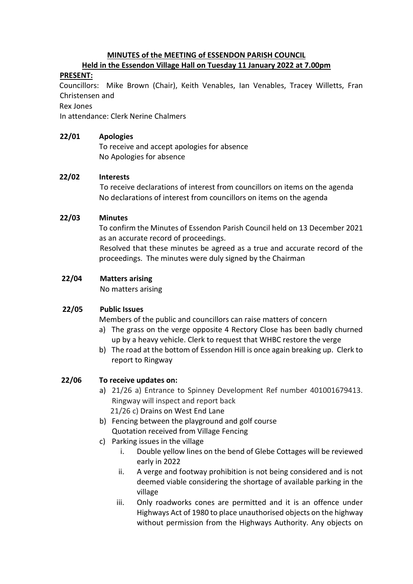# **MINUTES of the MEETING of ESSENDON PARISH COUNCIL**

#### **Held in the Essendon Village Hall on Tuesday 11 January 2022 at 7.00pm**

## **PRESENT:**

 Councillors: Mike Brown (Chair), Keith Venables, Ian Venables, Tracey Willetts, Fran Christensen and

#### Rex Jones

In attendance: Clerk Nerine Chalmers

## **22/01 Apologies**

To receive and accept apologies for absence No Apologies for absence

## **22/02 Interests**

To receive declarations of interest from councillors on items on the agenda No declarations of interest from councillors on items on the agenda

## **22/03 Minutes**

 To confirm the Minutes of Essendon Parish Council held on 13 December 2021 as an accurate record of proceedings.

Resolved that these minutes be agreed as a true and accurate record of the proceedings. The minutes were duly signed by the Chairman

## **22/04 Matters arising**

No matters arising

## **22/05 Public Issues**

Members of the public and councillors can raise matters of concern

- a) The grass on the verge opposite 4 Rectory Close has been badly churned up by a heavy vehicle. Clerk to request that WHBC restore the verge
- b) The road at the bottom of Essendon Hill is once again breaking up. Clerk to report to Ringway

## **22/06 To receive updates on:**

- a) 21/26 a) Entrance to Spinney Development Ref number 401001679413. Ringway will inspect and report back 21/26 c) Drains on West End Lane
- b) Fencing between the playground and golf course Quotation received from Village Fencing
- c) Parking issues in the village
	- i. Double yellow lines on the bend of Glebe Cottages will be reviewed early in 2022
	- ii. A verge and footway prohibition is not being considered and is not deemed viable considering the shortage of available parking in the village
	- iii. Only roadworks cones are permitted and it is an offence under Highways Act of 1980 to place unauthorised objects on the highway without permission from the Highways Authority. Any objects on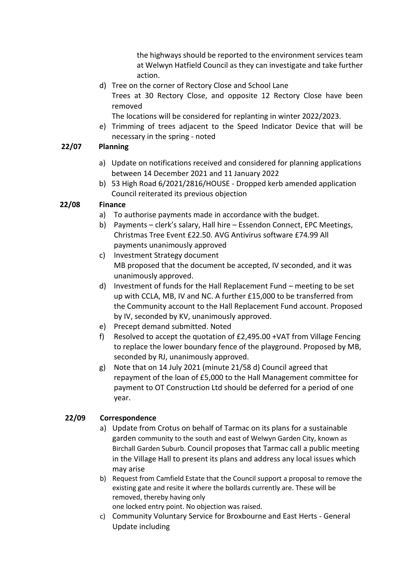the highways should be reported to the environment services team at Welwyn Hatfield Council as they can investigate and take further action.

d) Tree on the corner of Rectory Close and School Lane Trees at 30 Rectory Close, and opposite 12 Rectory Close have been removed

The locations will be considered for replanting in winter 2022/2023.

e) Trimming of trees adjacent to the Speed Indicator Device that will be necessary in the spring - noted

## **22/07 Planning**

- a) Update on notifications received and considered for planning applications between 14 December 2021 and 11 January 2022
- b) 53 High Road 6/2021/2816/HOUSE Dropped kerb amended application Council reiterated its previous objection

## **22/08 Finance**

- a) To authorise payments made in accordance with the budget.
- b) Payments clerk's salary, Hall hire Essendon Connect, EPC Meetings, Christmas Tree Event £22.50. AVG Antivirus software £74.99 All payments unanimously approved
- c) Investment Strategy document MB proposed that the document be accepted, IV seconded, and it was unanimously approved.
- d) Investment of funds for the Hall Replacement Fund meeting to be set up with CCLA, MB, IV and NC. A further £15,000 to be transferred from the Community account to the Hall Replacement Fund account. Proposed by IV, seconded by KV, unanimously approved.
- e) Precept demand submitted. Noted
- f) Resolved to accept the quotation of £2,495.00 +VAT from Village Fencing to replace the lower boundary fence of the playground. Proposed by MB, seconded by RJ, unanimously approved.
- g) Note that on 14 July 2021 (minute 21/58 d) Council agreed that repayment of the loan of £5,000 to the Hall Management committee for payment to OT Construction Ltd should be deferred for a period of one year.

## **22/09 Correspondence**

- a) Update from Crotus on behalf of Tarmac on its plans for a sustainable garden community to the south and east of Welwyn Garden City, known as Birchall Garden Suburb. Council proposes that Tarmac call a public meeting in the Village Hall to present its plans and address any local issues which may arise
- b) Request from Camfield Estate that the Council support a proposal to remove the existing gate and resite it where the bollards currently are. These will be removed, thereby having only

one locked entry point. No objection was raised.

c) Community Voluntary Service for Broxbourne and East Herts - General Update including